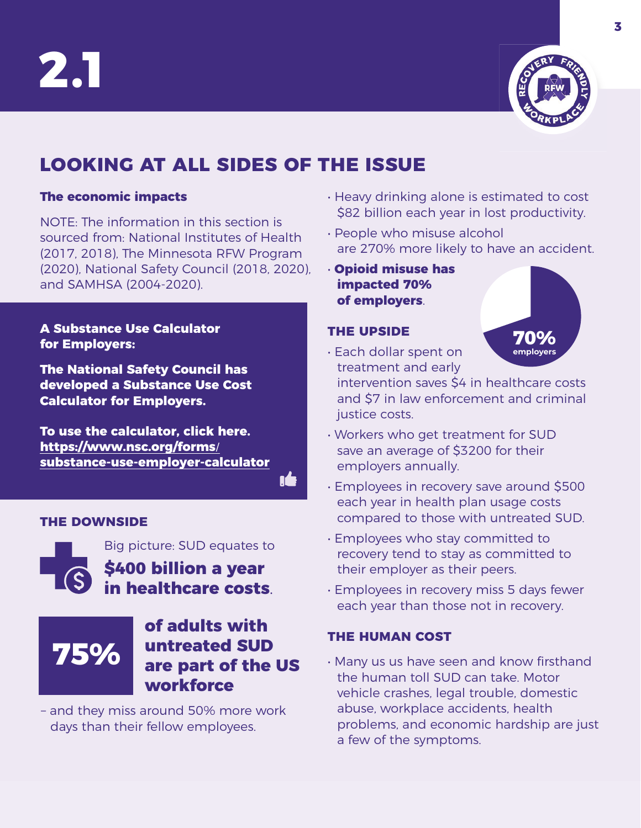



**70% employers**

# **LOOKING AT ALL SIDES OF THE ISSUE**

#### **The economic impacts**

NOTE: The information in this section is sourced from: National Institutes of Health (2017, 2018), The Minnesota RFW Program (2020), National Safety Council (2018, 2020), and SAMHSA (2004-2020).

#### **A Substance Use Calculator for Employers:**

**The National Safety Council has developed a Substance Use Cost Calculator for Employers.** 

**To use the calculator, click here. https://www.nsc.org/forms/ [substance-use-employer-calculator](https://www.nsc.org/forms/substance-use-employer-calculator)**

n4

#### **THE DOWNSIDE**

Big picture: SUD equates to **\$400 billion a year in healthcare costs**.



### **of adults with untreated SUD are part of the US workforce**

– and they miss around 50% more work days than their fellow employees.

- Heavy drinking alone is estimated to cost \$82 billion each year in lost productivity.
- People who misuse alcohol are 270% more likely to have an accident.
- **Opioid misuse has impacted 70% of employers**.

#### **THE UPSIDE**

• Each dollar spent on treatment and early

intervention saves \$4 in healthcare costs and \$7 in law enforcement and criminal justice costs.

- Workers who get treatment for SUD save an average of \$3200 for their employers annually.
- Employees in recovery save around \$500 each year in health plan usage costs compared to those with untreated SUD.
- Employees who stay committed to recovery tend to stay as committed to their employer as their peers.
- Employees in recovery miss 5 days fewer each year than those not in recovery.

#### **THE HUMAN COST**

• Many us us have seen and know firsthand the human toll SUD can take. Motor vehicle crashes, legal trouble, domestic abuse, workplace accidents, health problems, and economic hardship are just a few of the symptoms.